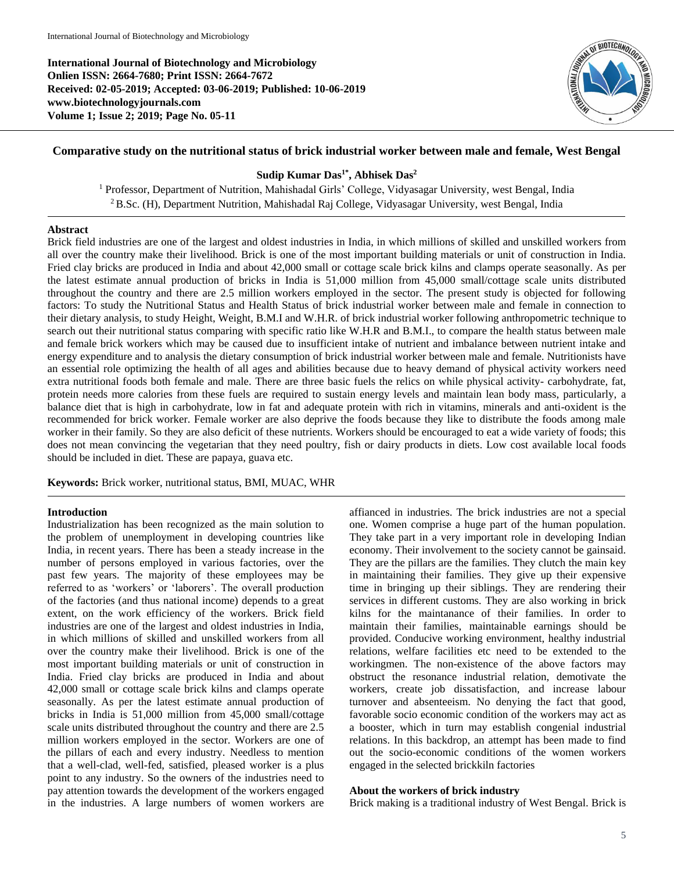**International Journal of Biotechnology and Microbiology Onlien ISSN: 2664-7680; Print ISSN: 2664-7672 Received: 02-05-2019; Accepted: 03-06-2019; Published: 10-06-2019 www.biotechnologyjournals.com Volume 1; Issue 2; 2019; Page No. 05-11**



# **Comparative study on the nutritional status of brick industrial worker between male and female, West Bengal**

## **Sudip Kumar Das1\* , Abhisek Das<sup>2</sup>**

<sup>1</sup> Professor, Department of Nutrition, Mahishadal Girls' College, Vidyasagar University, west Bengal, India <sup>2</sup> B.Sc. (H), Department Nutrition, Mahishadal Raj College, Vidyasagar University, west Bengal, India

## **Abstract**

Brick field industries are one of the largest and oldest industries in India, in which millions of skilled and unskilled workers from all over the country make their livelihood. Brick is one of the most important building materials or unit of construction in India. Fried clay bricks are produced in India and about 42,000 small or cottage scale brick kilns and clamps operate seasonally. As per the latest estimate annual production of bricks in India is 51,000 million from 45,000 small/cottage scale units distributed throughout the country and there are 2.5 million workers employed in the sector. The present study is objected for following factors: To study the Nutritional Status and Health Status of brick industrial worker between male and female in connection to their dietary analysis, to study Height, Weight, B.M.I and W.H.R. of brick industrial worker following anthropometric technique to search out their nutritional status comparing with specific ratio like W.H.R and B.M.I., to compare the health status between male and female brick workers which may be caused due to insufficient intake of nutrient and imbalance between nutrient intake and energy expenditure and to analysis the dietary consumption of brick industrial worker between male and female. Nutritionists have an essential role optimizing the health of all ages and abilities because due to heavy demand of physical activity workers need extra nutritional foods both female and male. There are three basic fuels the relics on while physical activity- carbohydrate, fat, protein needs more calories from these fuels are required to sustain energy levels and maintain lean body mass, particularly, a balance diet that is high in carbohydrate, low in fat and adequate protein with rich in vitamins, minerals and anti-oxident is the recommended for brick worker. Female worker are also deprive the foods because they like to distribute the foods among male worker in their family. So they are also deficit of these nutrients. Workers should be encouraged to eat a wide variety of foods; this does not mean convincing the vegetarian that they need poultry, fish or dairy products in diets. Low cost available local foods should be included in diet. These are papaya, guava etc.

**Keywords:** Brick worker, nutritional status, BMI, MUAC, WHR

#### **Introduction**

Industrialization has been recognized as the main solution to the problem of unemployment in developing countries like India, in recent years. There has been a steady increase in the number of persons employed in various factories, over the past few years. The majority of these employees may be referred to as 'workers' or 'laborers'. The overall production of the factories (and thus national income) depends to a great extent, on the work efficiency of the workers. Brick field industries are one of the largest and oldest industries in India, in which millions of skilled and unskilled workers from all over the country make their livelihood. Brick is one of the most important building materials or unit of construction in India. Fried clay bricks are produced in India and about 42,000 small or cottage scale brick kilns and clamps operate seasonally. As per the latest estimate annual production of bricks in India is 51,000 million from 45,000 small/cottage scale units distributed throughout the country and there are 2.5 million workers employed in the sector. Workers are one of the pillars of each and every industry. Needless to mention that a well-clad, well-fed, satisfied, pleased worker is a plus point to any industry. So the owners of the industries need to pay attention towards the development of the workers engaged in the industries. A large numbers of women workers are

affianced in industries. The brick industries are not a special one. Women comprise a huge part of the human population. They take part in a very important role in developing Indian economy. Their involvement to the society cannot be gainsaid. They are the pillars are the families. They clutch the main key in maintaining their families. They give up their expensive time in bringing up their siblings. They are rendering their services in different customs. They are also working in brick kilns for the maintanance of their families. In order to maintain their families, maintainable earnings should be provided. Conducive working environment, healthy industrial relations, welfare facilities etc need to be extended to the workingmen. The non-existence of the above factors may obstruct the resonance industrial relation, demotivate the workers, create job dissatisfaction, and increase labour turnover and absenteeism. No denying the fact that good, favorable socio economic condition of the workers may act as a booster, which in turn may establish congenial industrial relations. In this backdrop, an attempt has been made to find out the socio-economic conditions of the women workers engaged in the selected brickkiln factories

#### **About the workers of brick industry**

Brick making is a traditional industry of West Bengal. Brick is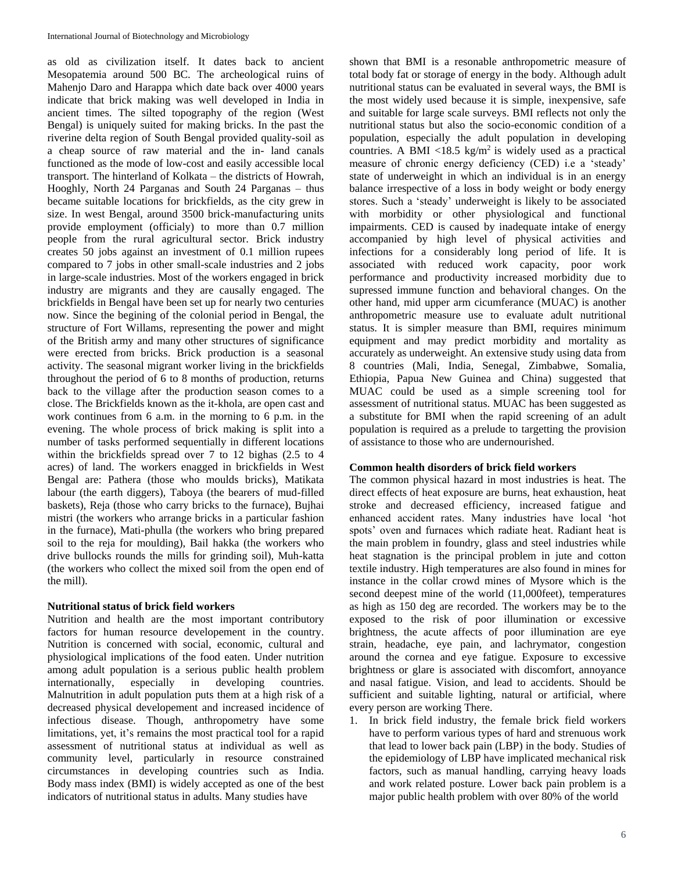as old as civilization itself. It dates back to ancient Mesopatemia around 500 BC. The archeological ruins of Mahenjo Daro and Harappa which date back over 4000 years indicate that brick making was well developed in India in ancient times. The silted topography of the region (West Bengal) is uniquely suited for making bricks. In the past the riverine delta region of South Bengal provided quality-soil as a cheap source of raw material and the in- land canals functioned as the mode of low-cost and easily accessible local transport. The hinterland of Kolkata – the districts of Howrah, Hooghly, North 24 Parganas and South 24 Parganas – thus became suitable locations for brickfields, as the city grew in size. In west Bengal, around 3500 brick-manufacturing units provide employment (officialy) to more than 0.7 million people from the rural agricultural sector. Brick industry creates 50 jobs against an investment of 0.1 million rupees compared to 7 jobs in other small-scale industries and 2 jobs in large-scale industries. Most of the workers engaged in brick industry are migrants and they are causally engaged. The brickfields in Bengal have been set up for nearly two centuries now. Since the begining of the colonial period in Bengal, the structure of Fort Willams, representing the power and might of the British army and many other structures of significance were erected from bricks. Brick production is a seasonal activity. The seasonal migrant worker living in the brickfields throughout the period of 6 to 8 months of production, returns back to the village after the production season comes to a close. The Brickfields known as the it-khola, are open cast and work continues from 6 a.m. in the morning to 6 p.m. in the evening. The whole process of brick making is split into a number of tasks performed sequentially in different locations within the brickfields spread over 7 to 12 bighas (2.5 to 4 acres) of land. The workers enagged in brickfields in West Bengal are: Pathera (those who moulds bricks), Matikata labour (the earth diggers), Taboya (the bearers of mud-filled baskets), Reja (those who carry bricks to the furnace), Bujhai mistri (the workers who arrange bricks in a particular fashion in the furnace), Mati-phulla (the workers who bring prepared soil to the reja for moulding), Bail hakka (the workers who drive bullocks rounds the mills for grinding soil), Muh-katta (the workers who collect the mixed soil from the open end of the mill).

## **Nutritional status of brick field workers**

Nutrition and health are the most important contributory factors for human resource developement in the country. Nutrition is concerned with social, economic, cultural and physiological implications of the food eaten. Under nutrition among adult population is a serious public health problem internationally, especially in developing countries. Malnutrition in adult population puts them at a high risk of a decreased physical developement and increased incidence of infectious disease. Though, anthropometry have some limitations, yet, it's remains the most practical tool for a rapid assessment of nutritional status at individual as well as community level, particularly in resource constrained circumstances in developing countries such as India. Body mass index (BMI) is widely accepted as one of the best indicators of nutritional status in adults. Many studies have

shown that BMI is a resonable anthropometric measure of total body fat or storage of energy in the body. Although adult nutritional status can be evaluated in several ways, the BMI is the most widely used because it is simple, inexpensive, safe and suitable for large scale surveys. BMI reflects not only the nutritional status but also the socio-economic condition of a population, especially the adult population in developing countries. A BMI <18.5 kg/m<sup>2</sup> is widely used as a practical measure of chronic energy deficiency (CED) i.e a 'steady' state of underweight in which an individual is in an energy balance irrespective of a loss in body weight or body energy stores. Such a 'steady' underweight is likely to be associated with morbidity or other physiological and functional impairments. CED is caused by inadequate intake of energy accompanied by high level of physical activities and infections for a considerably long period of life. It is associated with reduced work capacity, poor work performance and productivity increased morbidity due to supressed immune function and behavioral changes. On the other hand, mid upper arm cicumferance (MUAC) is another anthropometric measure use to evaluate adult nutritional status. It is simpler measure than BMI, requires minimum equipment and may predict morbidity and mortality as accurately as underweight. An extensive study using data from 8 countries (Mali, India, Senegal, Zimbabwe, Somalia, Ethiopia, Papua New Guinea and China) suggested that MUAC could be used as a simple screening tool for assessment of nutritional status. MUAC has been suggested as a substitute for BMI when the rapid screening of an adult population is required as a prelude to targetting the provision of assistance to those who are undernourished.

## **Common health disorders of brick field workers**

The common physical hazard in most industries is heat. The direct effects of heat exposure are burns, heat exhaustion, heat stroke and decreased efficiency, increased fatigue and enhanced accident rates. Many industries have local 'hot spots' oven and furnaces which radiate heat. Radiant heat is the main problem in foundry, glass and steel industries while heat stagnation is the principal problem in jute and cotton textile industry. High temperatures are also found in mines for instance in the collar crowd mines of Mysore which is the second deepest mine of the world (11,000feet), temperatures as high as 150 deg are recorded. The workers may be to the exposed to the risk of poor illumination or excessive brightness, the acute affects of poor illumination are eye strain, headache, eye pain, and lachrymator, congestion around the cornea and eye fatigue. Exposure to excessive brightness or glare is associated with discomfort, annoyance and nasal fatigue. Vision, and lead to accidents. Should be sufficient and suitable lighting, natural or artificial, where every person are working There.

1. In brick field industry, the female brick field workers have to perform various types of hard and strenuous work that lead to lower back pain (LBP) in the body. Studies of the epidemiology of LBP have implicated mechanical risk factors, such as manual handling, carrying heavy loads and work related posture. Lower back pain problem is a major public health problem with over 80% of the world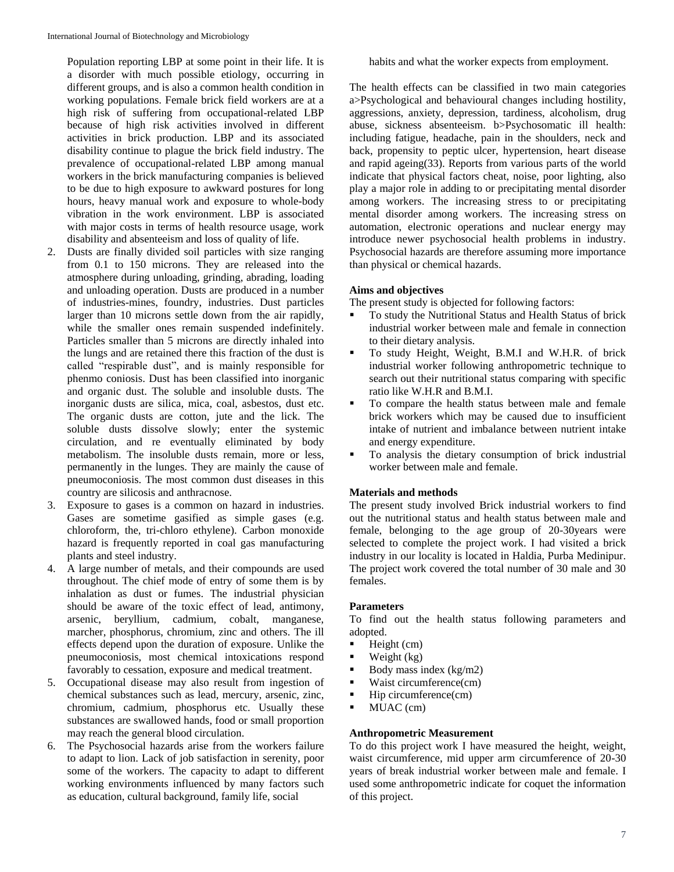Population reporting LBP at some point in their life. It is a disorder with much possible etiology, occurring in different groups, and is also a common health condition in working populations. Female brick field workers are at a high risk of suffering from occupational-related LBP because of high risk activities involved in different activities in brick production. LBP and its associated disability continue to plague the brick field industry. The prevalence of occupational-related LBP among manual workers in the brick manufacturing companies is believed to be due to high exposure to awkward postures for long hours, heavy manual work and exposure to whole-body vibration in the work environment. LBP is associated with major costs in terms of health resource usage, work disability and absenteeism and loss of quality of life.

- 2. Dusts are finally divided soil particles with size ranging from 0.1 to 150 microns. They are released into the atmosphere during unloading, grinding, abrading, loading and unloading operation. Dusts are produced in a number of industries-mines, foundry, industries. Dust particles larger than 10 microns settle down from the air rapidly, while the smaller ones remain suspended indefinitely. Particles smaller than 5 microns are directly inhaled into the lungs and are retained there this fraction of the dust is called "respirable dust", and is mainly responsible for phenmo coniosis. Dust has been classified into inorganic and organic dust. The soluble and insoluble dusts. The inorganic dusts are silica, mica, coal, asbestos, dust etc. The organic dusts are cotton, jute and the lick. The soluble dusts dissolve slowly; enter the systemic circulation, and re eventually eliminated by body metabolism. The insoluble dusts remain, more or less, permanently in the lunges. They are mainly the cause of pneumoconiosis. The most common dust diseases in this country are silicosis and anthracnose.
- 3. Exposure to gases is a common on hazard in industries. Gases are sometime gasified as simple gases (e.g. chloroform, the, tri-chloro ethylene). Carbon monoxide hazard is frequently reported in coal gas manufacturing plants and steel industry.
- 4. A large number of metals, and their compounds are used throughout. The chief mode of entry of some them is by inhalation as dust or fumes. The industrial physician should be aware of the toxic effect of lead, antimony, arsenic, beryllium, cadmium, cobalt, manganese, marcher, phosphorus, chromium, zinc and others. The ill effects depend upon the duration of exposure. Unlike the pneumoconiosis, most chemical intoxications respond favorably to cessation, exposure and medical treatment.
- 5. Occupational disease may also result from ingestion of chemical substances such as lead, mercury, arsenic, zinc, chromium, cadmium, phosphorus etc. Usually these substances are swallowed hands, food or small proportion may reach the general blood circulation.
- 6. The Psychosocial hazards arise from the workers failure to adapt to lion. Lack of job satisfaction in serenity, poor some of the workers. The capacity to adapt to different working environments influenced by many factors such as education, cultural background, family life, social

habits and what the worker expects from employment.

The health effects can be classified in two main categories a>Psychological and behavioural changes including hostility, aggressions, anxiety, depression, tardiness, alcoholism, drug abuse, sickness absenteeism. b>Psychosomatic ill health: including fatigue, headache, pain in the shoulders, neck and back, propensity to peptic ulcer, hypertension, heart disease and rapid ageing(33). Reports from various parts of the world indicate that physical factors cheat, noise, poor lighting, also play a major role in adding to or precipitating mental disorder among workers. The increasing stress to or precipitating mental disorder among workers. The increasing stress on automation, electronic operations and nuclear energy may introduce newer psychosocial health problems in industry. Psychosocial hazards are therefore assuming more importance than physical or chemical hazards.

## **Aims and objectives**

The present study is objected for following factors:

- To study the Nutritional Status and Health Status of brick industrial worker between male and female in connection to their dietary analysis.
- To study Height, Weight, B.M.I and W.H.R. of brick industrial worker following anthropometric technique to search out their nutritional status comparing with specific ratio like W.H.R and B.M.I.
- To compare the health status between male and female brick workers which may be caused due to insufficient intake of nutrient and imbalance between nutrient intake and energy expenditure.
- To analysis the dietary consumption of brick industrial worker between male and female.

# **Materials and methods**

The present study involved Brick industrial workers to find out the nutritional status and health status between male and female, belonging to the age group of 20-30years were selected to complete the project work. I had visited a brick industry in our locality is located in Haldia, Purba Medinipur. The project work covered the total number of 30 male and 30 females.

# **Parameters**

To find out the health status following parameters and adopted.

- $\blacksquare$  Height (cm)
- $\blacksquare$  Weight (kg)
- Body mass index (kg/m2)
- $\blacksquare$  Waist circumference(cm)
- $\blacksquare$  Hip circumference(cm)
- MUAC (cm)

# **Anthropometric Measurement**

To do this project work I have measured the height, weight, waist circumference, mid upper arm circumference of 20-30 years of break industrial worker between male and female. I used some anthropometric indicate for coquet the information of this project.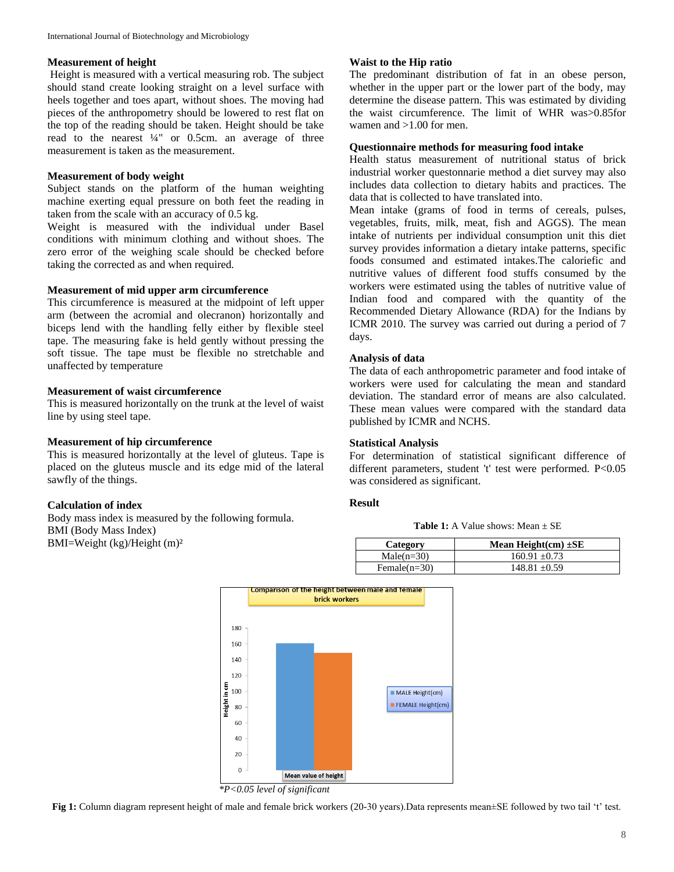#### **Measurement of height**

Height is measured with a vertical measuring rob. The subject should stand create looking straight on a level surface with heels together and toes apart, without shoes. The moving had pieces of the anthropometry should be lowered to rest flat on the top of the reading should be taken. Height should be take read to the nearest ¼" or 0.5cm. an average of three measurement is taken as the measurement.

## **Measurement of body weight**

Subject stands on the platform of the human weighting machine exerting equal pressure on both feet the reading in taken from the scale with an accuracy of 0.5 kg.

Weight is measured with the individual under Basel conditions with minimum clothing and without shoes. The zero error of the weighing scale should be checked before taking the corrected as and when required.

#### **Measurement of mid upper arm circumference**

This circumference is measured at the midpoint of left upper arm (between the acromial and olecranon) horizontally and biceps lend with the handling felly either by flexible steel tape. The measuring fake is held gently without pressing the soft tissue. The tape must be flexible no stretchable and unaffected by temperature

## **Measurement of waist circumference**

This is measured horizontally on the trunk at the level of waist line by using steel tape.

# **Measurement of hip circumference**

This is measured horizontally at the level of gluteus. Tape is placed on the gluteus muscle and its edge mid of the lateral sawfly of the things.

## **Calculation of index**

Body mass index is measured by the following formula. BMI (Body Mass Index) BMI=Weight (kg)/Height (m)²

## **Waist to the Hip ratio**

The predominant distribution of fat in an obese person, whether in the upper part or the lower part of the body, may determine the disease pattern. This was estimated by dividing the waist circumference. The limit of WHR was>0.85for wamen and >1.00 for men.

# **Questionnaire methods for measuring food intake**

Health status measurement of nutritional status of brick industrial worker questonnarie method a diet survey may also includes data collection to dietary habits and practices. The data that is collected to have translated into.

Mean intake (grams of food in terms of cereals, pulses, vegetables, fruits, milk, meat, fish and AGGS). The mean intake of nutrients per individual consumption unit this diet survey provides information a dietary intake patterns, specific foods consumed and estimated intakes.The caloriefic and nutritive values of different food stuffs consumed by the workers were estimated using the tables of nutritive value of Indian food and compared with the quantity of the Recommended Dietary Allowance (RDA) for the Indians by ICMR 2010. The survey was carried out during a period of 7 days.

#### **Analysis of data**

The data of each anthropometric parameter and food intake of workers were used for calculating the mean and standard deviation. The standard error of means are also calculated. These mean values were compared with the standard data published by ICMR and NCHS.

## **Statistical Analysis**

For determination of statistical significant difference of different parameters, student 't' test were performed. P<0.05 was considered as significant.

## **Result**

**Table 1:** A Value shows: Mean  $\pm$  SE

| Category        | Mean Height $(cm) \pm SE$ |
|-----------------|---------------------------|
| $Male(n=30)$    | $160.91 + 0.73$           |
| Female $(n=30)$ | $148.81 + 0.59$           |



*\*P<0.05 level of significant*

**Fig 1:** Column diagram represent height of male and female brick workers (20-30 years).Data represents mean±SE followed by two tail 't' test.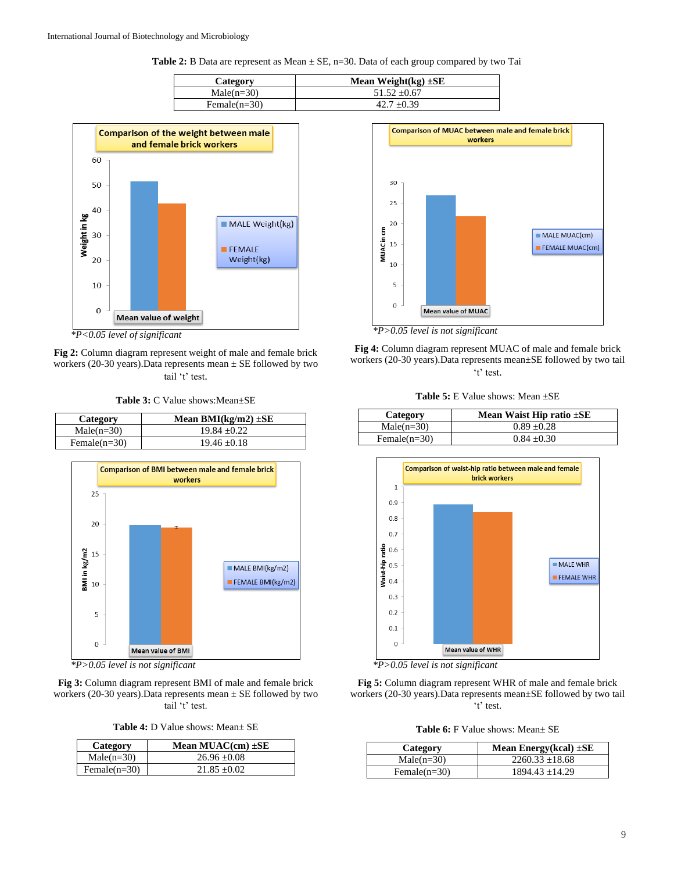Table 2: B Data are represent as Mean  $\pm$  SE, n=30. Data of each group compared by two Tai

| Category        | Mean Weight $(kg) \pm SE$ |
|-----------------|---------------------------|
| $Male(n=30)$    | $51.52 \pm 0.67$          |
| Female $(n=30)$ | $42.7 + 0.39$             |



*\*P<0.05 level of significant*

**Fig 2:** Column diagram represent weight of male and female brick workers (20-30 years). Data represents mean  $\pm$  SE followed by two tail 't' test.

**Table 3:** C Value shows:Mean±SE

| Category        | Mean BMI(kg/m2) $\pm$ SE |
|-----------------|--------------------------|
| $Male(n=30)$    | $19.84 + 0.22$           |
| Female $(n=30)$ | $19.46 + 0.18$           |



*\*P>0.05 level is not significant*

**Fig 3:** Column diagram represent BMI of male and female brick workers (20-30 years). Data represents mean  $\pm$  SE followed by two tail 't' test.

**Table 4:** D Value shows: Mean± SE

| Category        | Mean MUAC $(cm) \pm SE$ |
|-----------------|-------------------------|
| $Male(n=30)$    | $26.96 + 0.08$          |
| Female $(n=30)$ | $21.85 + 0.02$          |



*\*P>0.05 level is not significant*

**Fig 4:** Column diagram represent MUAC of male and female brick workers (20-30 years).Data represents mean±SE followed by two tail 't' test.

| <b>Table 5:</b> E Value shows: Mean $\pm$ SE |  |  |  |
|----------------------------------------------|--|--|--|
|----------------------------------------------|--|--|--|

| Category        | Mean Waist Hip ratio $\pm$ SE |
|-----------------|-------------------------------|
| $Male(n=30)$    | $0.89 + 0.28$                 |
| Female $(n=30)$ | $0.84 + 0.30$                 |







**Table 6:** F Value shows: Mean± SE

| Category        | Mean Energy(kcal) $\pm$ SE |
|-----------------|----------------------------|
| $Male(n=30)$    | $2260.33 + 18.68$          |
| Female $(n=30)$ | $1894.43 + 14.29$          |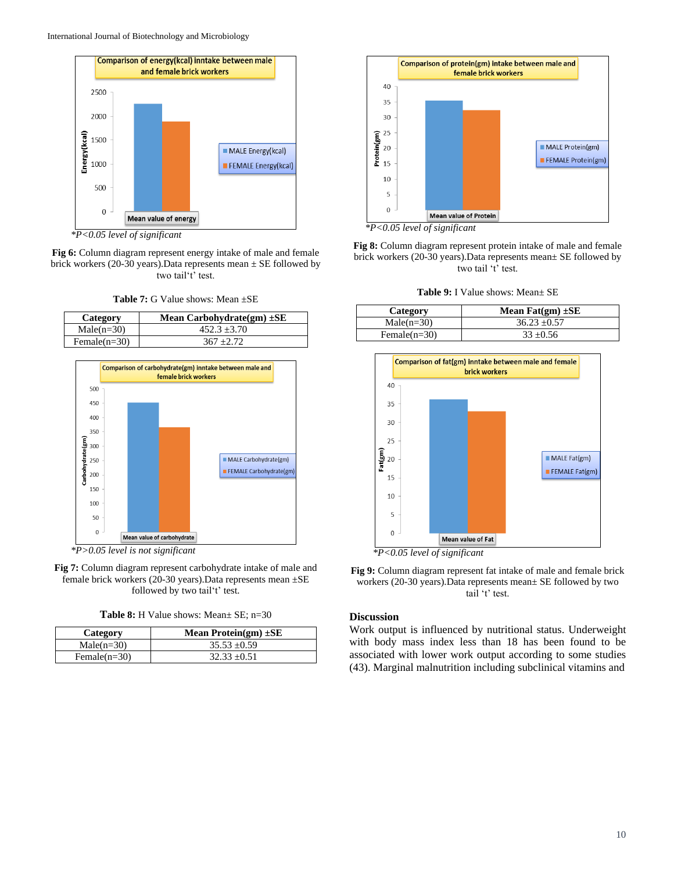

*\*P<0.05 level of significant*

**Fig 6:** Column diagram represent energy intake of male and female brick workers (20-30 years). Data represents mean  $\pm$  SE followed by two tail't' test.

**Table 7:** G Value shows: Mean ±SE

| Category        | Mean Carbohydrate $(gm) \pm SE$ |
|-----------------|---------------------------------|
| $Male(n=30)$    | $452.3 + 3.70$                  |
| Female $(n=30)$ | $367 + 2.72$                    |



*\*P>0.05 level is not significant*

**Fig 7:** Column diagram represent carbohydrate intake of male and female brick workers (20-30 years).Data represents mean ±SE followed by two tail't' test.

**Table 8:** H Value shows: Mean± SE; n=30

| Category        | Mean Protein(gm) $\pm$ SE |
|-----------------|---------------------------|
| $Male(n=30)$    | $35.53 + 0.59$            |
| Female $(n=30)$ | $32.33 + 0.51$            |



*\*P<0.05 level of significant*

**Fig 8:** Column diagram represent protein intake of male and female brick workers (20-30 years).Data represents mean± SE followed by two tail 't' test.

**Table 9:** I Value shows: Mean± SE

| Category        | Mean $\text{Fat}(\text{gm}) \pm \text{SE}$ |
|-----------------|--------------------------------------------|
| $Male(n=30)$    | $36.23 + 0.57$                             |
| Female $(n=30)$ | $33 + 0.56$                                |



*\*P<0.05 level of significant*

**Fig 9:** Column diagram represent fat intake of male and female brick workers (20-30 years).Data represents mean± SE followed by two tail 't' test.

## **Discussion**

Work output is influenced by nutritional status. Underweight with body mass index less than 18 has been found to be associated with lower work output according to some studies (43). Marginal malnutrition including subclinical vitamins and